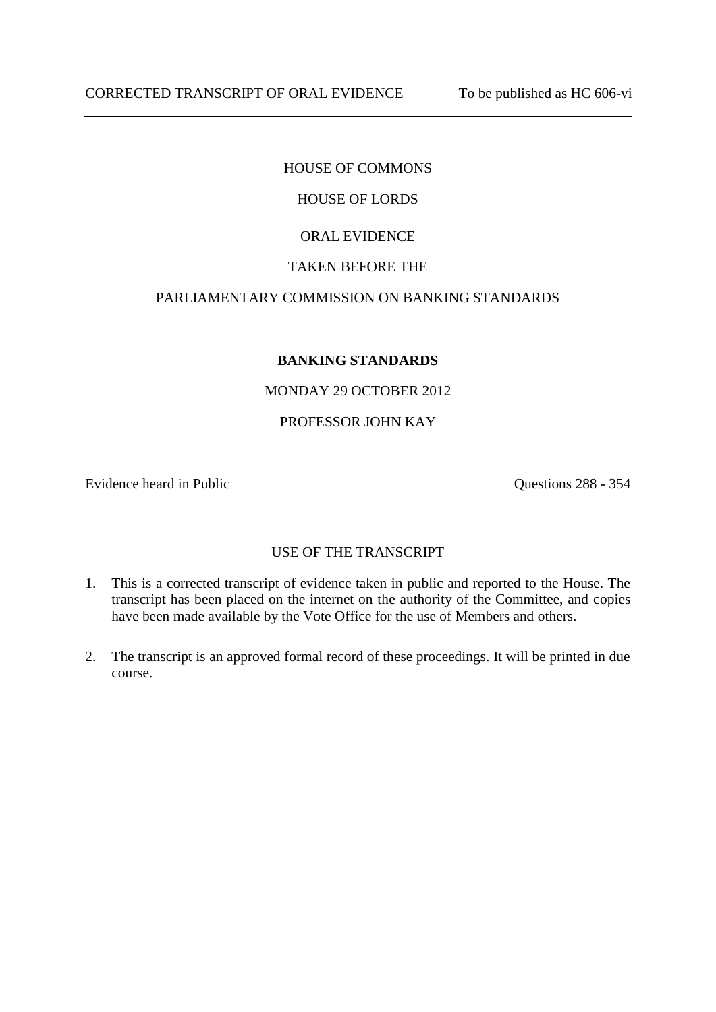# HOUSE OF COMMONS

# HOUSE OF LORDS

## ORAL EVIDENCE

## TAKEN BEFORE THE

## PARLIAMENTARY COMMISSION ON BANKING STANDARDS

## **BANKING STANDARDS**

## MONDAY 29 OCTOBER 2012

### PROFESSOR JOHN KAY

Evidence heard in Public Questions 288 - 354

## USE OF THE TRANSCRIPT

- 1. This is a corrected transcript of evidence taken in public and reported to the House. The transcript has been placed on the internet on the authority of the Committee, and copies have been made available by the Vote Office for the use of Members and others.
- 2. The transcript is an approved formal record of these proceedings. It will be printed in due course.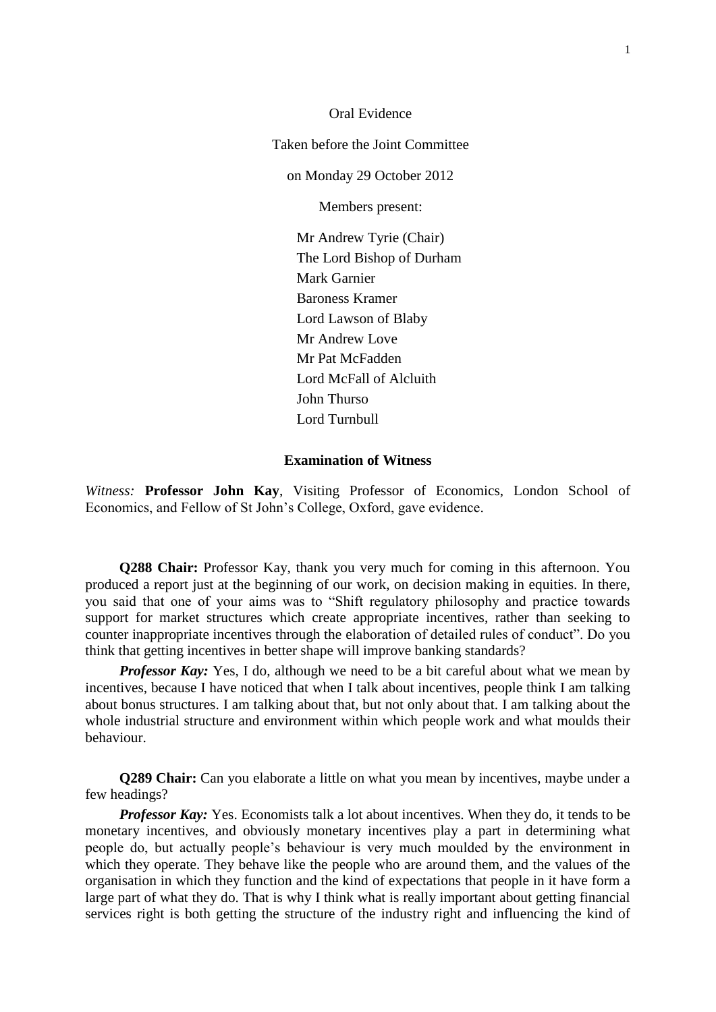Oral Evidence Taken before the Joint Committee on Monday 29 October 2012 Members present: Mr Andrew Tyrie (Chair) The Lord Bishop of Durham Mark Garnier Baroness Kramer Lord Lawson of Blaby Mr Andrew Love Mr Pat McFadden Lord McFall of Alcluith John Thurso Lord Turnbull

### **Examination of Witness**

*Witness:* **Professor John Kay**, Visiting Professor of Economics, London School of Economics, and Fellow of St John's College, Oxford, gave evidence.

**Q288 Chair:** Professor Kay, thank you very much for coming in this afternoon. You produced a report just at the beginning of our work, on decision making in equities. In there, you said that one of your aims was to "Shift regulatory philosophy and practice towards support for market structures which create appropriate incentives, rather than seeking to counter inappropriate incentives through the elaboration of detailed rules of conduct". Do you think that getting incentives in better shape will improve banking standards?

*Professor Kay:* Yes, I do, although we need to be a bit careful about what we mean by incentives, because I have noticed that when I talk about incentives, people think I am talking about bonus structures. I am talking about that, but not only about that. I am talking about the whole industrial structure and environment within which people work and what moulds their behaviour.

**Q289 Chair:** Can you elaborate a little on what you mean by incentives, maybe under a few headings?

*Professor Kay:* Yes. Economists talk a lot about incentives. When they do, it tends to be monetary incentives, and obviously monetary incentives play a part in determining what people do, but actually people's behaviour is very much moulded by the environment in which they operate. They behave like the people who are around them, and the values of the organisation in which they function and the kind of expectations that people in it have form a large part of what they do. That is why I think what is really important about getting financial services right is both getting the structure of the industry right and influencing the kind of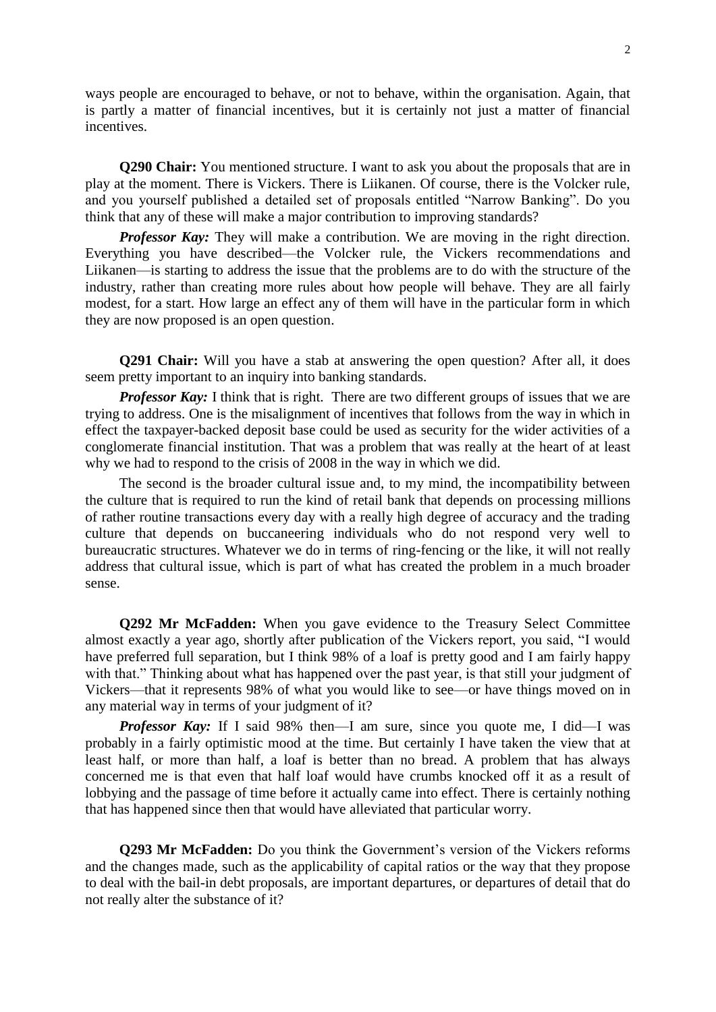ways people are encouraged to behave, or not to behave, within the organisation. Again, that is partly a matter of financial incentives, but it is certainly not just a matter of financial incentives.

**Q290 Chair:** You mentioned structure. I want to ask you about the proposals that are in play at the moment. There is Vickers. There is Liikanen. Of course, there is the Volcker rule, and you yourself published a detailed set of proposals entitled "Narrow Banking". Do you think that any of these will make a major contribution to improving standards?

*Professor Kay:* They will make a contribution. We are moving in the right direction. Everything you have described—the Volcker rule, the Vickers recommendations and Liikanen—is starting to address the issue that the problems are to do with the structure of the industry, rather than creating more rules about how people will behave. They are all fairly modest, for a start. How large an effect any of them will have in the particular form in which they are now proposed is an open question.

**Q291 Chair:** Will you have a stab at answering the open question? After all, it does seem pretty important to an inquiry into banking standards.

*Professor Kay:* I think that is right. There are two different groups of issues that we are trying to address. One is the misalignment of incentives that follows from the way in which in effect the taxpayer-backed deposit base could be used as security for the wider activities of a conglomerate financial institution. That was a problem that was really at the heart of at least why we had to respond to the crisis of 2008 in the way in which we did.

The second is the broader cultural issue and, to my mind, the incompatibility between the culture that is required to run the kind of retail bank that depends on processing millions of rather routine transactions every day with a really high degree of accuracy and the trading culture that depends on buccaneering individuals who do not respond very well to bureaucratic structures. Whatever we do in terms of ring-fencing or the like, it will not really address that cultural issue, which is part of what has created the problem in a much broader sense.

**Q292 Mr McFadden:** When you gave evidence to the Treasury Select Committee almost exactly a year ago, shortly after publication of the Vickers report, you said, "I would have preferred full separation, but I think 98% of a loaf is pretty good and I am fairly happy with that." Thinking about what has happened over the past year, is that still your judgment of Vickers—that it represents 98% of what you would like to see—or have things moved on in any material way in terms of your judgment of it?

*Professor Kay:* If I said 98% then—I am sure, since you quote me, I did—I was probably in a fairly optimistic mood at the time. But certainly I have taken the view that at least half, or more than half, a loaf is better than no bread. A problem that has always concerned me is that even that half loaf would have crumbs knocked off it as a result of lobbying and the passage of time before it actually came into effect. There is certainly nothing that has happened since then that would have alleviated that particular worry.

**Q293 Mr McFadden:** Do you think the Government's version of the Vickers reforms and the changes made, such as the applicability of capital ratios or the way that they propose to deal with the bail-in debt proposals, are important departures, or departures of detail that do not really alter the substance of it?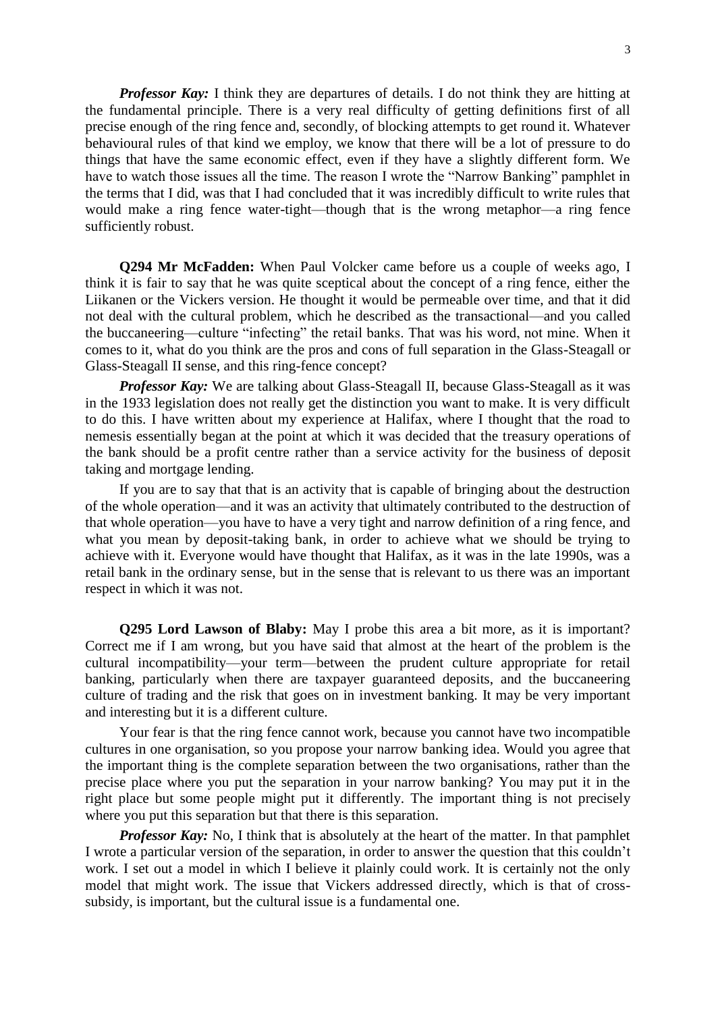*Professor Kay:* I think they are departures of details. I do not think they are hitting at the fundamental principle. There is a very real difficulty of getting definitions first of all precise enough of the ring fence and, secondly, of blocking attempts to get round it. Whatever behavioural rules of that kind we employ, we know that there will be a lot of pressure to do things that have the same economic effect, even if they have a slightly different form. We have to watch those issues all the time. The reason I wrote the "Narrow Banking" pamphlet in the terms that I did, was that I had concluded that it was incredibly difficult to write rules that would make a ring fence water-tight—though that is the wrong metaphor—a ring fence sufficiently robust.

**Q294 Mr McFadden:** When Paul Volcker came before us a couple of weeks ago, I think it is fair to say that he was quite sceptical about the concept of a ring fence, either the Liikanen or the Vickers version. He thought it would be permeable over time, and that it did not deal with the cultural problem, which he described as the transactional—and you called the buccaneering—culture "infecting" the retail banks. That was his word, not mine. When it comes to it, what do you think are the pros and cons of full separation in the Glass-Steagall or Glass-Steagall II sense, and this ring-fence concept?

*Professor Kay:* We are talking about Glass-Steagall II, because Glass-Steagall as it was in the 1933 legislation does not really get the distinction you want to make. It is very difficult to do this. I have written about my experience at Halifax, where I thought that the road to nemesis essentially began at the point at which it was decided that the treasury operations of the bank should be a profit centre rather than a service activity for the business of deposit taking and mortgage lending.

If you are to say that that is an activity that is capable of bringing about the destruction of the whole operation—and it was an activity that ultimately contributed to the destruction of that whole operation—you have to have a very tight and narrow definition of a ring fence, and what you mean by deposit-taking bank, in order to achieve what we should be trying to achieve with it. Everyone would have thought that Halifax, as it was in the late 1990s, was a retail bank in the ordinary sense, but in the sense that is relevant to us there was an important respect in which it was not.

**Q295 Lord Lawson of Blaby:** May I probe this area a bit more, as it is important? Correct me if I am wrong, but you have said that almost at the heart of the problem is the cultural incompatibility—your term—between the prudent culture appropriate for retail banking, particularly when there are taxpayer guaranteed deposits, and the buccaneering culture of trading and the risk that goes on in investment banking. It may be very important and interesting but it is a different culture.

Your fear is that the ring fence cannot work, because you cannot have two incompatible cultures in one organisation, so you propose your narrow banking idea. Would you agree that the important thing is the complete separation between the two organisations, rather than the precise place where you put the separation in your narrow banking? You may put it in the right place but some people might put it differently. The important thing is not precisely where you put this separation but that there is this separation.

*Professor Kay:* No, I think that is absolutely at the heart of the matter. In that pamphlet I wrote a particular version of the separation, in order to answer the question that this couldn't work. I set out a model in which I believe it plainly could work. It is certainly not the only model that might work. The issue that Vickers addressed directly, which is that of crosssubsidy, is important, but the cultural issue is a fundamental one.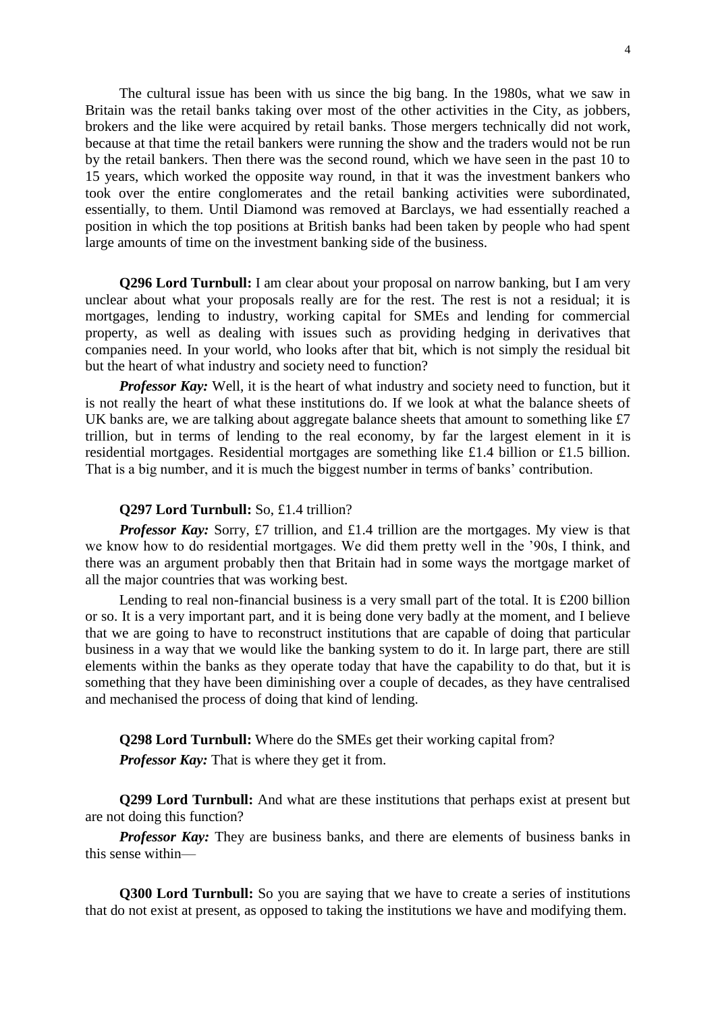The cultural issue has been with us since the big bang. In the 1980s, what we saw in Britain was the retail banks taking over most of the other activities in the City, as jobbers, brokers and the like were acquired by retail banks. Those mergers technically did not work, because at that time the retail bankers were running the show and the traders would not be run by the retail bankers. Then there was the second round, which we have seen in the past 10 to 15 years, which worked the opposite way round, in that it was the investment bankers who took over the entire conglomerates and the retail banking activities were subordinated, essentially, to them. Until Diamond was removed at Barclays, we had essentially reached a position in which the top positions at British banks had been taken by people who had spent large amounts of time on the investment banking side of the business.

**Q296 Lord Turnbull:** I am clear about your proposal on narrow banking, but I am very unclear about what your proposals really are for the rest. The rest is not a residual; it is mortgages, lending to industry, working capital for SMEs and lending for commercial property, as well as dealing with issues such as providing hedging in derivatives that companies need. In your world, who looks after that bit, which is not simply the residual bit but the heart of what industry and society need to function?

*Professor Kay:* Well, it is the heart of what industry and society need to function, but it is not really the heart of what these institutions do. If we look at what the balance sheets of UK banks are, we are talking about aggregate balance sheets that amount to something like £7 trillion, but in terms of lending to the real economy, by far the largest element in it is residential mortgages. Residential mortgages are something like £1.4 billion or £1.5 billion. That is a big number, and it is much the biggest number in terms of banks' contribution.

### **Q297 Lord Turnbull:** So, £1.4 trillion?

*Professor Kay:* Sorry, £7 trillion, and £1.4 trillion are the mortgages. My view is that we know how to do residential mortgages. We did them pretty well in the '90s, I think, and there was an argument probably then that Britain had in some ways the mortgage market of all the major countries that was working best.

Lending to real non-financial business is a very small part of the total. It is £200 billion or so. It is a very important part, and it is being done very badly at the moment, and I believe that we are going to have to reconstruct institutions that are capable of doing that particular business in a way that we would like the banking system to do it. In large part, there are still elements within the banks as they operate today that have the capability to do that, but it is something that they have been diminishing over a couple of decades, as they have centralised and mechanised the process of doing that kind of lending.

**Q298 Lord Turnbull:** Where do the SMEs get their working capital from? *Professor Kay:* That is where they get it from.

**Q299 Lord Turnbull:** And what are these institutions that perhaps exist at present but are not doing this function?

*Professor Kay:* They are business banks, and there are elements of business banks in this sense within—

**Q300 Lord Turnbull:** So you are saying that we have to create a series of institutions that do not exist at present, as opposed to taking the institutions we have and modifying them.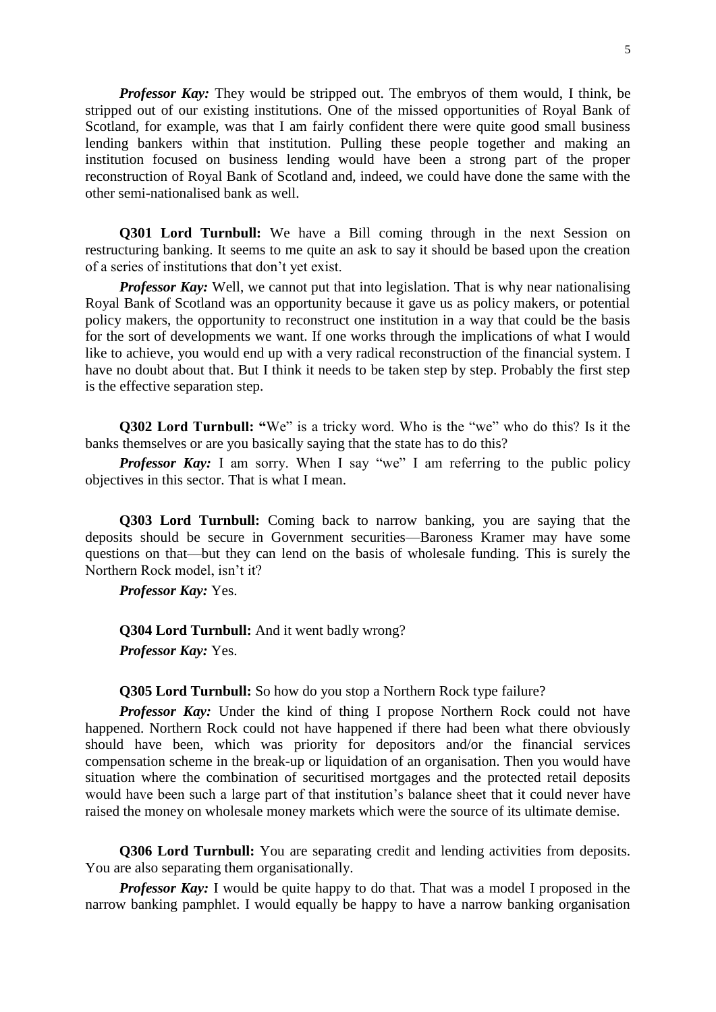*Professor Kay:* They would be stripped out. The embryos of them would, I think, be stripped out of our existing institutions. One of the missed opportunities of Royal Bank of Scotland, for example, was that I am fairly confident there were quite good small business lending bankers within that institution. Pulling these people together and making an institution focused on business lending would have been a strong part of the proper reconstruction of Royal Bank of Scotland and, indeed, we could have done the same with the other semi-nationalised bank as well.

**Q301 Lord Turnbull:** We have a Bill coming through in the next Session on restructuring banking. It seems to me quite an ask to say it should be based upon the creation of a series of institutions that don't yet exist.

*Professor Kay:* Well, we cannot put that into legislation. That is why near nationalising Royal Bank of Scotland was an opportunity because it gave us as policy makers, or potential policy makers, the opportunity to reconstruct one institution in a way that could be the basis for the sort of developments we want. If one works through the implications of what I would like to achieve, you would end up with a very radical reconstruction of the financial system. I have no doubt about that. But I think it needs to be taken step by step. Probably the first step is the effective separation step.

**Q302 Lord Turnbull: "**We" is a tricky word. Who is the "we" who do this? Is it the banks themselves or are you basically saying that the state has to do this?

*Professor Kay:* I am sorry. When I say "we" I am referring to the public policy objectives in this sector. That is what I mean.

**Q303 Lord Turnbull:** Coming back to narrow banking, you are saying that the deposits should be secure in Government securities—Baroness Kramer may have some questions on that—but they can lend on the basis of wholesale funding. This is surely the Northern Rock model, isn't it?

*Professor Kay:* Yes.

**Q304 Lord Turnbull:** And it went badly wrong? *Professor Kay:* Yes.

**Q305 Lord Turnbull:** So how do you stop a Northern Rock type failure?

*Professor Kay:* Under the kind of thing I propose Northern Rock could not have happened. Northern Rock could not have happened if there had been what there obviously should have been, which was priority for depositors and/or the financial services compensation scheme in the break-up or liquidation of an organisation. Then you would have situation where the combination of securitised mortgages and the protected retail deposits would have been such a large part of that institution's balance sheet that it could never have raised the money on wholesale money markets which were the source of its ultimate demise.

**Q306 Lord Turnbull:** You are separating credit and lending activities from deposits. You are also separating them organisationally.

*Professor Kay:* I would be quite happy to do that. That was a model I proposed in the narrow banking pamphlet. I would equally be happy to have a narrow banking organisation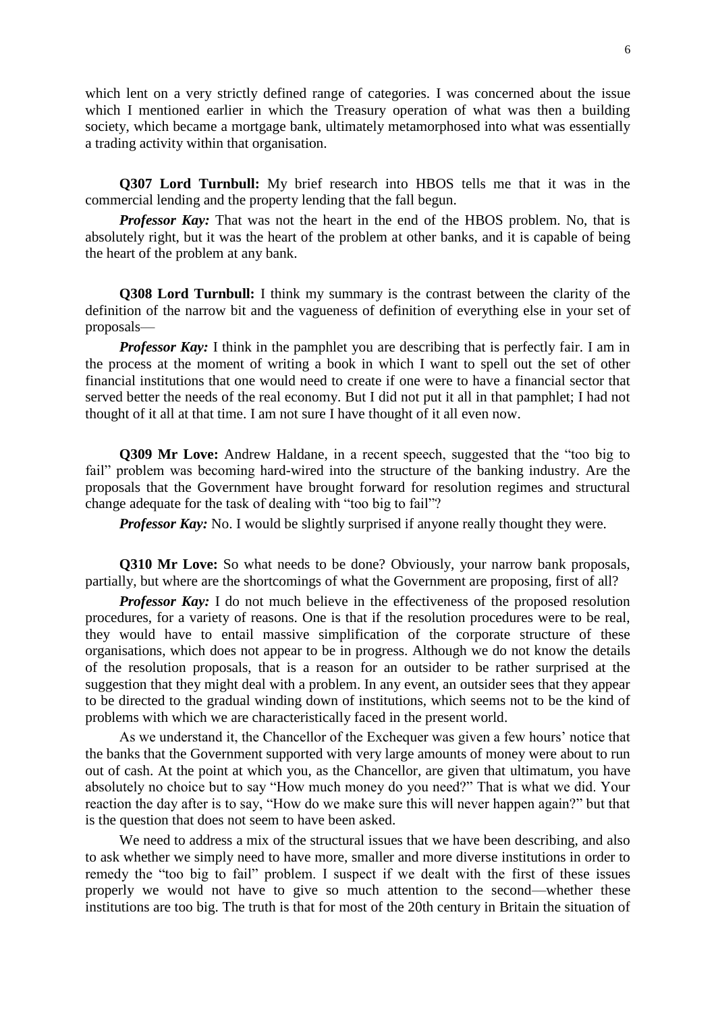which lent on a very strictly defined range of categories. I was concerned about the issue which I mentioned earlier in which the Treasury operation of what was then a building society, which became a mortgage bank, ultimately metamorphosed into what was essentially a trading activity within that organisation.

**Q307 Lord Turnbull:** My brief research into HBOS tells me that it was in the commercial lending and the property lending that the fall begun.

*Professor Kay:* That was not the heart in the end of the HBOS problem. No, that is absolutely right, but it was the heart of the problem at other banks, and it is capable of being the heart of the problem at any bank.

**Q308 Lord Turnbull:** I think my summary is the contrast between the clarity of the definition of the narrow bit and the vagueness of definition of everything else in your set of proposals—

*Professor Kay:* I think in the pamphlet you are describing that is perfectly fair. I am in the process at the moment of writing a book in which I want to spell out the set of other financial institutions that one would need to create if one were to have a financial sector that served better the needs of the real economy. But I did not put it all in that pamphlet; I had not thought of it all at that time. I am not sure I have thought of it all even now.

**Q309 Mr Love:** Andrew Haldane, in a recent speech, suggested that the "too big to fail" problem was becoming hard-wired into the structure of the banking industry. Are the proposals that the Government have brought forward for resolution regimes and structural change adequate for the task of dealing with "too big to fail"?

*Professor Kay:* No. I would be slightly surprised if anyone really thought they were.

**Q310 Mr Love:** So what needs to be done? Obviously, your narrow bank proposals, partially, but where are the shortcomings of what the Government are proposing, first of all?

*Professor Kay:* I do not much believe in the effectiveness of the proposed resolution procedures, for a variety of reasons. One is that if the resolution procedures were to be real, they would have to entail massive simplification of the corporate structure of these organisations, which does not appear to be in progress. Although we do not know the details of the resolution proposals, that is a reason for an outsider to be rather surprised at the suggestion that they might deal with a problem. In any event, an outsider sees that they appear to be directed to the gradual winding down of institutions, which seems not to be the kind of problems with which we are characteristically faced in the present world.

As we understand it, the Chancellor of the Exchequer was given a few hours' notice that the banks that the Government supported with very large amounts of money were about to run out of cash. At the point at which you, as the Chancellor, are given that ultimatum, you have absolutely no choice but to say "How much money do you need?" That is what we did. Your reaction the day after is to say, "How do we make sure this will never happen again?" but that is the question that does not seem to have been asked.

We need to address a mix of the structural issues that we have been describing, and also to ask whether we simply need to have more, smaller and more diverse institutions in order to remedy the "too big to fail" problem. I suspect if we dealt with the first of these issues properly we would not have to give so much attention to the second—whether these institutions are too big. The truth is that for most of the 20th century in Britain the situation of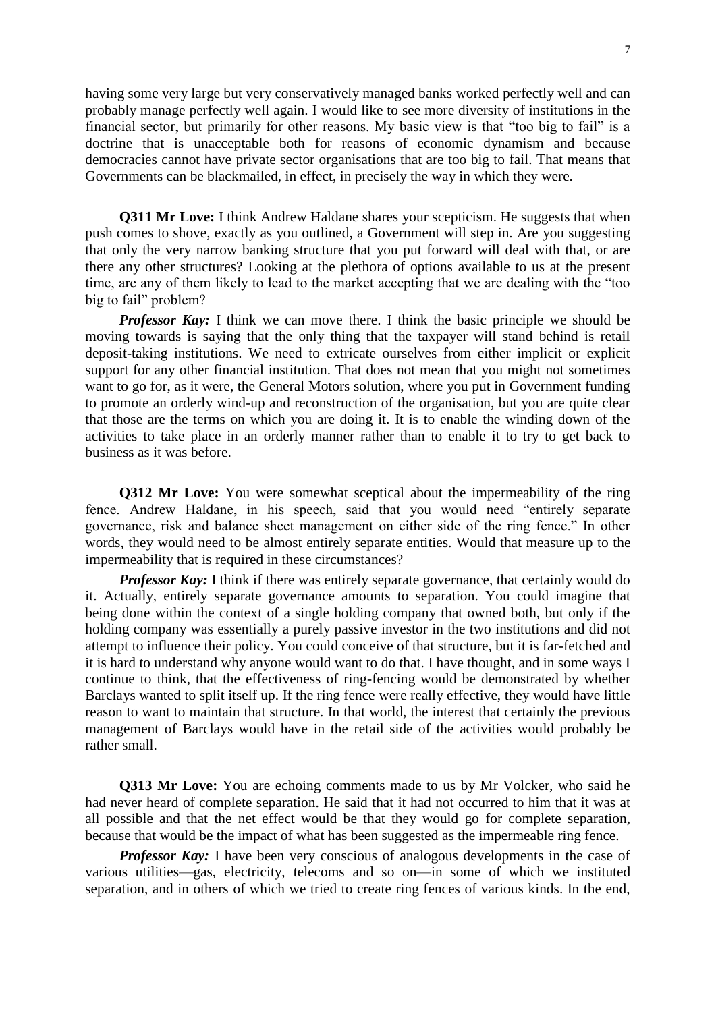having some very large but very conservatively managed banks worked perfectly well and can probably manage perfectly well again. I would like to see more diversity of institutions in the financial sector, but primarily for other reasons. My basic view is that "too big to fail" is a doctrine that is unacceptable both for reasons of economic dynamism and because democracies cannot have private sector organisations that are too big to fail. That means that Governments can be blackmailed, in effect, in precisely the way in which they were.

**Q311 Mr Love:** I think Andrew Haldane shares your scepticism. He suggests that when push comes to shove, exactly as you outlined, a Government will step in. Are you suggesting that only the very narrow banking structure that you put forward will deal with that, or are there any other structures? Looking at the plethora of options available to us at the present time, are any of them likely to lead to the market accepting that we are dealing with the "too big to fail" problem?

*Professor Kay:* I think we can move there. I think the basic principle we should be moving towards is saying that the only thing that the taxpayer will stand behind is retail deposit-taking institutions. We need to extricate ourselves from either implicit or explicit support for any other financial institution. That does not mean that you might not sometimes want to go for, as it were, the General Motors solution, where you put in Government funding to promote an orderly wind-up and reconstruction of the organisation, but you are quite clear that those are the terms on which you are doing it. It is to enable the winding down of the activities to take place in an orderly manner rather than to enable it to try to get back to business as it was before.

**Q312** Mr Love: You were somewhat sceptical about the impermeability of the ring fence. Andrew Haldane, in his speech, said that you would need "entirely separate governance, risk and balance sheet management on either side of the ring fence." In other words, they would need to be almost entirely separate entities. Would that measure up to the impermeability that is required in these circumstances?

*Professor Kay:* I think if there was entirely separate governance, that certainly would do it. Actually, entirely separate governance amounts to separation. You could imagine that being done within the context of a single holding company that owned both, but only if the holding company was essentially a purely passive investor in the two institutions and did not attempt to influence their policy. You could conceive of that structure, but it is far-fetched and it is hard to understand why anyone would want to do that. I have thought, and in some ways I continue to think, that the effectiveness of ring-fencing would be demonstrated by whether Barclays wanted to split itself up. If the ring fence were really effective, they would have little reason to want to maintain that structure. In that world, the interest that certainly the previous management of Barclays would have in the retail side of the activities would probably be rather small.

**Q313 Mr Love:** You are echoing comments made to us by Mr Volcker, who said he had never heard of complete separation. He said that it had not occurred to him that it was at all possible and that the net effect would be that they would go for complete separation, because that would be the impact of what has been suggested as the impermeable ring fence.

*Professor Kay:* I have been very conscious of analogous developments in the case of various utilities—gas, electricity, telecoms and so on—in some of which we instituted separation, and in others of which we tried to create ring fences of various kinds. In the end,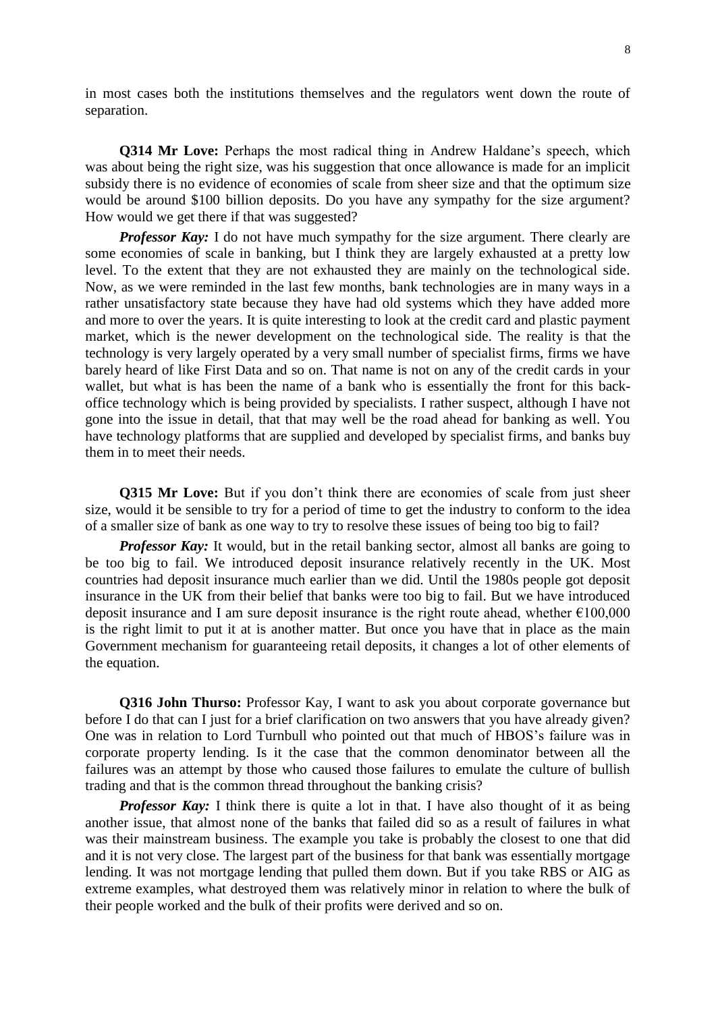in most cases both the institutions themselves and the regulators went down the route of separation.

**Q314 Mr Love:** Perhaps the most radical thing in Andrew Haldane's speech, which was about being the right size, was his suggestion that once allowance is made for an implicit subsidy there is no evidence of economies of scale from sheer size and that the optimum size would be around \$100 billion deposits. Do you have any sympathy for the size argument? How would we get there if that was suggested?

*Professor Kay:* I do not have much sympathy for the size argument. There clearly are some economies of scale in banking, but I think they are largely exhausted at a pretty low level. To the extent that they are not exhausted they are mainly on the technological side. Now, as we were reminded in the last few months, bank technologies are in many ways in a rather unsatisfactory state because they have had old systems which they have added more and more to over the years. It is quite interesting to look at the credit card and plastic payment market, which is the newer development on the technological side. The reality is that the technology is very largely operated by a very small number of specialist firms, firms we have barely heard of like First Data and so on. That name is not on any of the credit cards in your wallet, but what is has been the name of a bank who is essentially the front for this backoffice technology which is being provided by specialists. I rather suspect, although I have not gone into the issue in detail, that that may well be the road ahead for banking as well. You have technology platforms that are supplied and developed by specialist firms, and banks buy them in to meet their needs.

**Q315** Mr Love: But if you don't think there are economies of scale from just sheer size, would it be sensible to try for a period of time to get the industry to conform to the idea of a smaller size of bank as one way to try to resolve these issues of being too big to fail?

*Professor Kay:* It would, but in the retail banking sector, almost all banks are going to be too big to fail. We introduced deposit insurance relatively recently in the UK. Most countries had deposit insurance much earlier than we did. Until the 1980s people got deposit insurance in the UK from their belief that banks were too big to fail. But we have introduced deposit insurance and I am sure deposit insurance is the right route ahead, whether  $\epsilon$ 100,000 is the right limit to put it at is another matter. But once you have that in place as the main Government mechanism for guaranteeing retail deposits, it changes a lot of other elements of the equation.

**Q316 John Thurso:** Professor Kay, I want to ask you about corporate governance but before I do that can I just for a brief clarification on two answers that you have already given? One was in relation to Lord Turnbull who pointed out that much of HBOS's failure was in corporate property lending. Is it the case that the common denominator between all the failures was an attempt by those who caused those failures to emulate the culture of bullish trading and that is the common thread throughout the banking crisis?

*Professor Kay:* I think there is quite a lot in that. I have also thought of it as being another issue, that almost none of the banks that failed did so as a result of failures in what was their mainstream business. The example you take is probably the closest to one that did and it is not very close. The largest part of the business for that bank was essentially mortgage lending. It was not mortgage lending that pulled them down. But if you take RBS or AIG as extreme examples, what destroyed them was relatively minor in relation to where the bulk of their people worked and the bulk of their profits were derived and so on.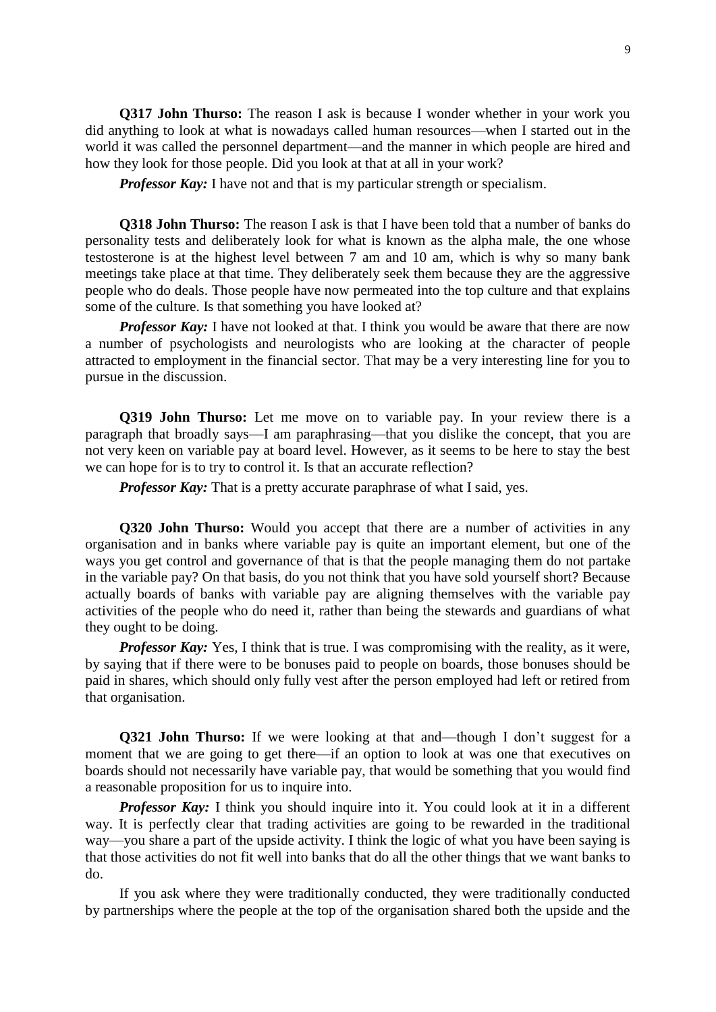**Q317 John Thurso:** The reason I ask is because I wonder whether in your work you did anything to look at what is nowadays called human resources—when I started out in the world it was called the personnel department—and the manner in which people are hired and how they look for those people. Did you look at that at all in your work?

*Professor Kay:* I have not and that is my particular strength or specialism.

**Q318 John Thurso:** The reason I ask is that I have been told that a number of banks do personality tests and deliberately look for what is known as the alpha male, the one whose testosterone is at the highest level between 7 am and 10 am, which is why so many bank meetings take place at that time. They deliberately seek them because they are the aggressive people who do deals. Those people have now permeated into the top culture and that explains some of the culture. Is that something you have looked at?

*Professor Kay:* I have not looked at that. I think you would be aware that there are now a number of psychologists and neurologists who are looking at the character of people attracted to employment in the financial sector. That may be a very interesting line for you to pursue in the discussion.

**Q319 John Thurso:** Let me move on to variable pay. In your review there is a paragraph that broadly says—I am paraphrasing—that you dislike the concept, that you are not very keen on variable pay at board level. However, as it seems to be here to stay the best we can hope for is to try to control it. Is that an accurate reflection?

*Professor Kay:* That is a pretty accurate paraphrase of what I said, yes.

**Q320 John Thurso:** Would you accept that there are a number of activities in any organisation and in banks where variable pay is quite an important element, but one of the ways you get control and governance of that is that the people managing them do not partake in the variable pay? On that basis, do you not think that you have sold yourself short? Because actually boards of banks with variable pay are aligning themselves with the variable pay activities of the people who do need it, rather than being the stewards and guardians of what they ought to be doing.

*Professor Kay:* Yes, I think that is true. I was compromising with the reality, as it were, by saying that if there were to be bonuses paid to people on boards, those bonuses should be paid in shares, which should only fully vest after the person employed had left or retired from that organisation.

**Q321 John Thurso:** If we were looking at that and—though I don't suggest for a moment that we are going to get there—if an option to look at was one that executives on boards should not necessarily have variable pay, that would be something that you would find a reasonable proposition for us to inquire into.

*Professor Kay:* I think you should inquire into it. You could look at it in a different way. It is perfectly clear that trading activities are going to be rewarded in the traditional way—you share a part of the upside activity. I think the logic of what you have been saying is that those activities do not fit well into banks that do all the other things that we want banks to do.

If you ask where they were traditionally conducted, they were traditionally conducted by partnerships where the people at the top of the organisation shared both the upside and the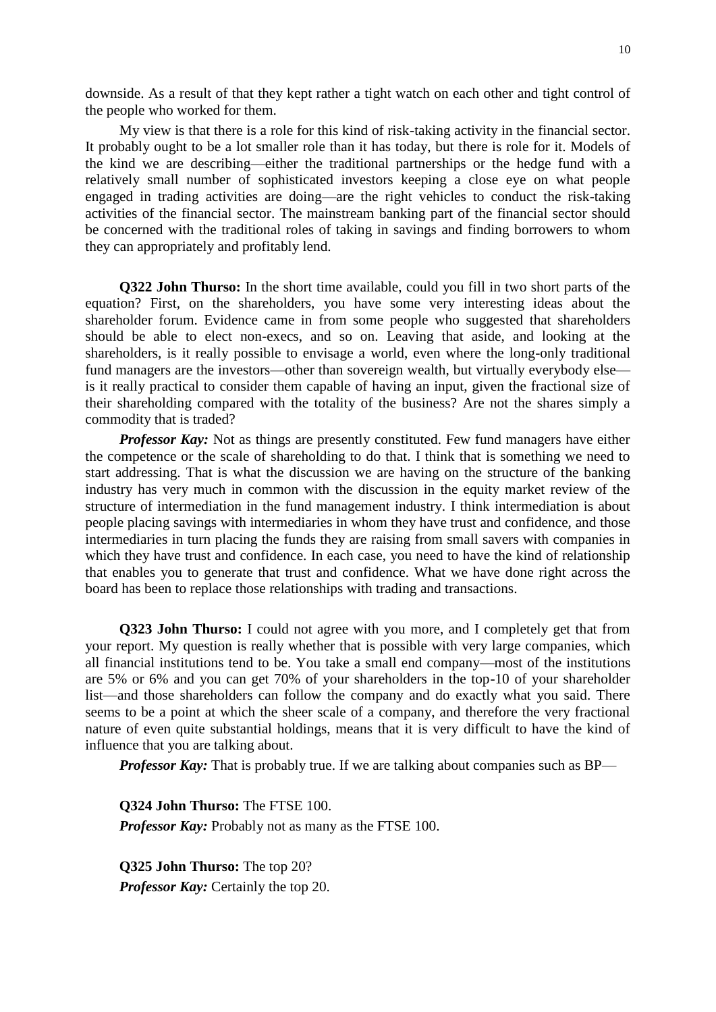downside. As a result of that they kept rather a tight watch on each other and tight control of the people who worked for them.

My view is that there is a role for this kind of risk-taking activity in the financial sector. It probably ought to be a lot smaller role than it has today, but there is role for it. Models of the kind we are describing—either the traditional partnerships or the hedge fund with a relatively small number of sophisticated investors keeping a close eye on what people engaged in trading activities are doing—are the right vehicles to conduct the risk-taking activities of the financial sector. The mainstream banking part of the financial sector should be concerned with the traditional roles of taking in savings and finding borrowers to whom they can appropriately and profitably lend.

**Q322 John Thurso:** In the short time available, could you fill in two short parts of the equation? First, on the shareholders, you have some very interesting ideas about the shareholder forum. Evidence came in from some people who suggested that shareholders should be able to elect non-execs, and so on. Leaving that aside, and looking at the shareholders, is it really possible to envisage a world, even where the long-only traditional fund managers are the investors—other than sovereign wealth, but virtually everybody else is it really practical to consider them capable of having an input, given the fractional size of their shareholding compared with the totality of the business? Are not the shares simply a commodity that is traded?

*Professor Kay:* Not as things are presently constituted. Few fund managers have either the competence or the scale of shareholding to do that. I think that is something we need to start addressing. That is what the discussion we are having on the structure of the banking industry has very much in common with the discussion in the equity market review of the structure of intermediation in the fund management industry. I think intermediation is about people placing savings with intermediaries in whom they have trust and confidence, and those intermediaries in turn placing the funds they are raising from small savers with companies in which they have trust and confidence. In each case, you need to have the kind of relationship that enables you to generate that trust and confidence. What we have done right across the board has been to replace those relationships with trading and transactions.

**Q323 John Thurso:** I could not agree with you more, and I completely get that from your report. My question is really whether that is possible with very large companies, which all financial institutions tend to be. You take a small end company—most of the institutions are 5% or 6% and you can get 70% of your shareholders in the top-10 of your shareholder list—and those shareholders can follow the company and do exactly what you said. There seems to be a point at which the sheer scale of a company, and therefore the very fractional nature of even quite substantial holdings, means that it is very difficult to have the kind of influence that you are talking about.

*Professor Kay*: That is probably true. If we are talking about companies such as BP—

**Q324 John Thurso:** The FTSE 100. *Professor Kay:* Probably not as many as the FTSE 100.

**Q325 John Thurso:** The top 20? *Professor Kay:* Certainly the top 20.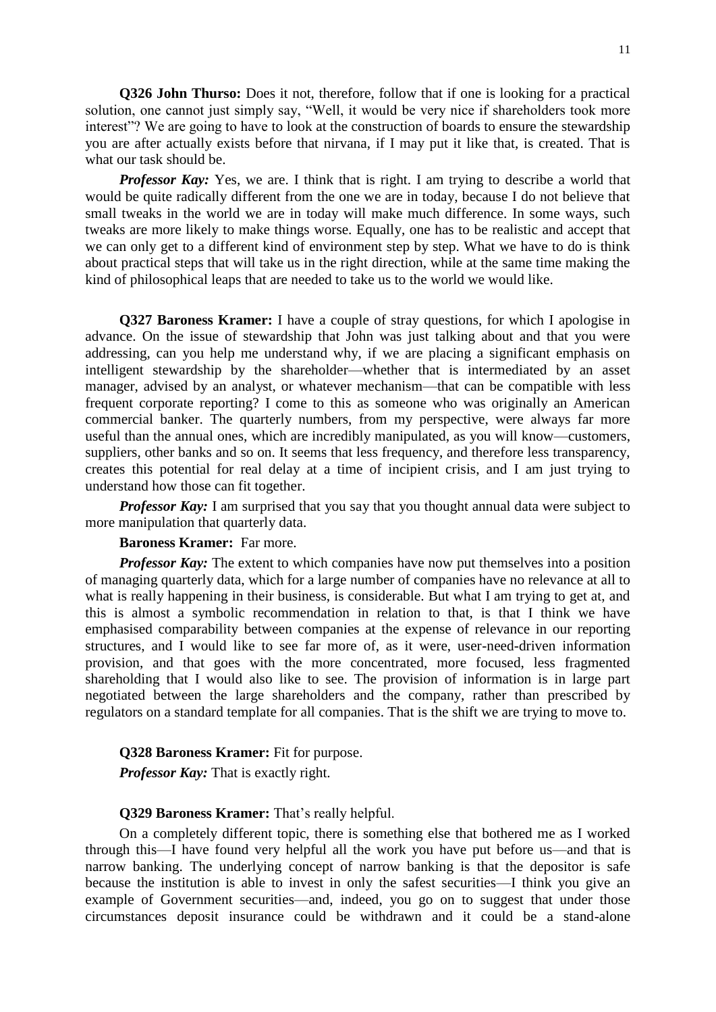**Q326 John Thurso:** Does it not, therefore, follow that if one is looking for a practical solution, one cannot just simply say, "Well, it would be very nice if shareholders took more interest"? We are going to have to look at the construction of boards to ensure the stewardship you are after actually exists before that nirvana, if I may put it like that, is created. That is what our task should be.

*Professor Kay:* Yes, we are. I think that is right. I am trying to describe a world that would be quite radically different from the one we are in today, because I do not believe that small tweaks in the world we are in today will make much difference. In some ways, such tweaks are more likely to make things worse. Equally, one has to be realistic and accept that we can only get to a different kind of environment step by step. What we have to do is think about practical steps that will take us in the right direction, while at the same time making the kind of philosophical leaps that are needed to take us to the world we would like.

**Q327 Baroness Kramer:** I have a couple of stray questions, for which I apologise in advance. On the issue of stewardship that John was just talking about and that you were addressing, can you help me understand why, if we are placing a significant emphasis on intelligent stewardship by the shareholder—whether that is intermediated by an asset manager, advised by an analyst, or whatever mechanism—that can be compatible with less frequent corporate reporting? I come to this as someone who was originally an American commercial banker. The quarterly numbers, from my perspective, were always far more useful than the annual ones, which are incredibly manipulated, as you will know—customers, suppliers, other banks and so on. It seems that less frequency, and therefore less transparency, creates this potential for real delay at a time of incipient crisis, and I am just trying to understand how those can fit together.

*Professor Kay:* I am surprised that you say that you thought annual data were subject to more manipulation that quarterly data.

#### **Baroness Kramer:** Far more.

*Professor Kay:* The extent to which companies have now put themselves into a position of managing quarterly data, which for a large number of companies have no relevance at all to what is really happening in their business, is considerable. But what I am trying to get at, and this is almost a symbolic recommendation in relation to that, is that I think we have emphasised comparability between companies at the expense of relevance in our reporting structures, and I would like to see far more of, as it were, user-need-driven information provision, and that goes with the more concentrated, more focused, less fragmented shareholding that I would also like to see. The provision of information is in large part negotiated between the large shareholders and the company, rather than prescribed by regulators on a standard template for all companies. That is the shift we are trying to move to.

#### **Q328 Baroness Kramer:** Fit for purpose.

*Professor Kay:* That is exactly right.

### **Q329 Baroness Kramer:** That's really helpful.

On a completely different topic, there is something else that bothered me as I worked through this—I have found very helpful all the work you have put before us—and that is narrow banking. The underlying concept of narrow banking is that the depositor is safe because the institution is able to invest in only the safest securities—I think you give an example of Government securities—and, indeed, you go on to suggest that under those circumstances deposit insurance could be withdrawn and it could be a stand-alone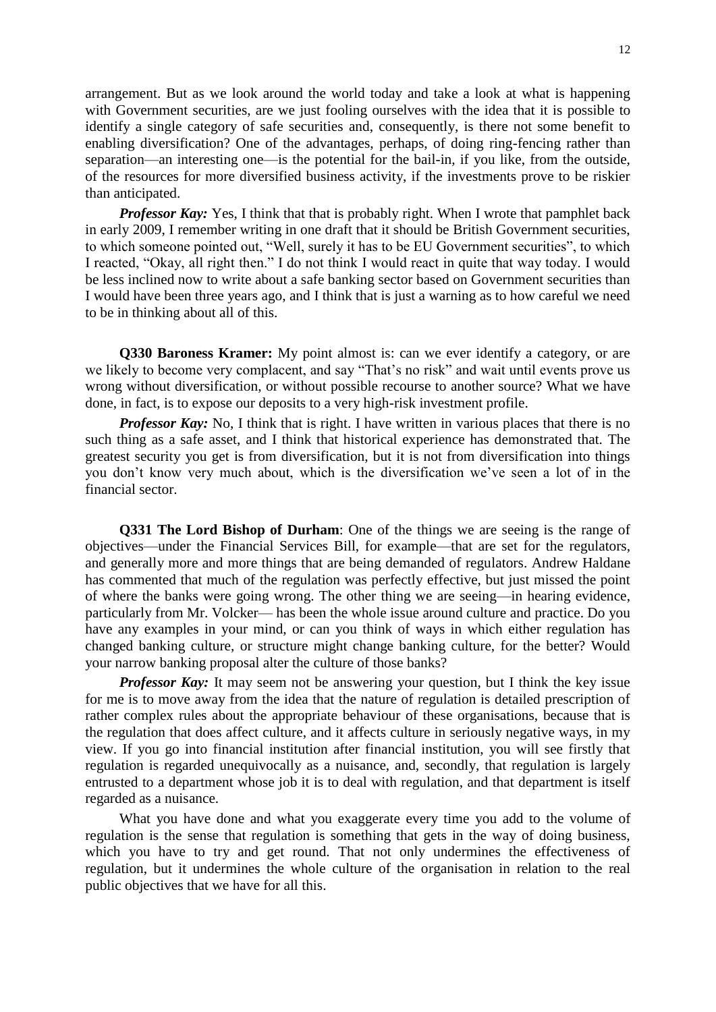arrangement. But as we look around the world today and take a look at what is happening with Government securities, are we just fooling ourselves with the idea that it is possible to identify a single category of safe securities and, consequently, is there not some benefit to enabling diversification? One of the advantages, perhaps, of doing ring-fencing rather than separation—an interesting one—is the potential for the bail-in, if you like, from the outside, of the resources for more diversified business activity, if the investments prove to be riskier than anticipated.

*Professor Kay:* Yes, I think that that is probably right. When I wrote that pamphlet back in early 2009, I remember writing in one draft that it should be British Government securities, to which someone pointed out, "Well, surely it has to be EU Government securities", to which I reacted, "Okay, all right then." I do not think I would react in quite that way today. I would be less inclined now to write about a safe banking sector based on Government securities than I would have been three years ago, and I think that is just a warning as to how careful we need to be in thinking about all of this.

**Q330 Baroness Kramer:** My point almost is: can we ever identify a category, or are we likely to become very complacent, and say "That's no risk" and wait until events prove us wrong without diversification, or without possible recourse to another source? What we have done, in fact, is to expose our deposits to a very high-risk investment profile.

*Professor Kay:* No, I think that is right. I have written in various places that there is no such thing as a safe asset, and I think that historical experience has demonstrated that. The greatest security you get is from diversification, but it is not from diversification into things you don't know very much about, which is the diversification we've seen a lot of in the financial sector.

**Q331 The Lord Bishop of Durham**: One of the things we are seeing is the range of objectives—under the Financial Services Bill, for example—that are set for the regulators, and generally more and more things that are being demanded of regulators. Andrew Haldane has commented that much of the regulation was perfectly effective, but just missed the point of where the banks were going wrong. The other thing we are seeing—in hearing evidence, particularly from Mr. Volcker— has been the whole issue around culture and practice. Do you have any examples in your mind, or can you think of ways in which either regulation has changed banking culture, or structure might change banking culture, for the better? Would your narrow banking proposal alter the culture of those banks?

*Professor Kay:* It may seem not be answering your question, but I think the key issue for me is to move away from the idea that the nature of regulation is detailed prescription of rather complex rules about the appropriate behaviour of these organisations, because that is the regulation that does affect culture, and it affects culture in seriously negative ways, in my view. If you go into financial institution after financial institution, you will see firstly that regulation is regarded unequivocally as a nuisance, and, secondly, that regulation is largely entrusted to a department whose job it is to deal with regulation, and that department is itself regarded as a nuisance.

What you have done and what you exaggerate every time you add to the volume of regulation is the sense that regulation is something that gets in the way of doing business, which you have to try and get round. That not only undermines the effectiveness of regulation, but it undermines the whole culture of the organisation in relation to the real public objectives that we have for all this.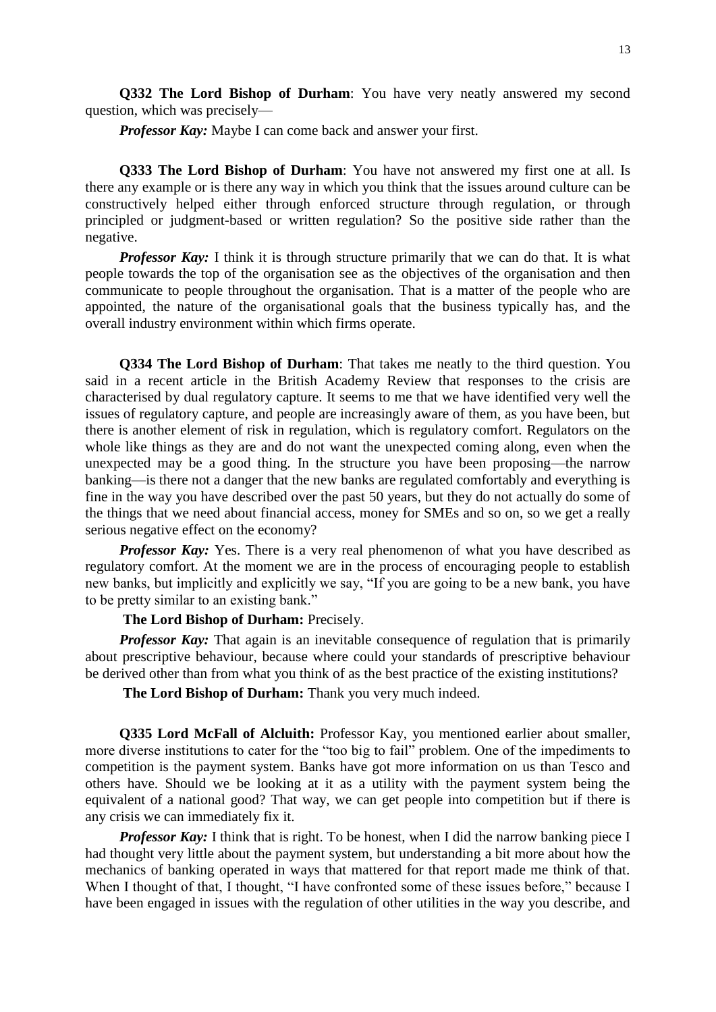**Q332 The Lord Bishop of Durham**: You have very neatly answered my second question, which was precisely—

*Professor Kay:* Maybe I can come back and answer your first.

**Q333 The Lord Bishop of Durham**: You have not answered my first one at all. Is there any example or is there any way in which you think that the issues around culture can be constructively helped either through enforced structure through regulation, or through principled or judgment-based or written regulation? So the positive side rather than the negative.

*Professor Kay:* I think it is through structure primarily that we can do that. It is what people towards the top of the organisation see as the objectives of the organisation and then communicate to people throughout the organisation. That is a matter of the people who are appointed, the nature of the organisational goals that the business typically has, and the overall industry environment within which firms operate.

**Q334 The Lord Bishop of Durham**: That takes me neatly to the third question. You said in a recent article in the British Academy Review that responses to the crisis are characterised by dual regulatory capture. It seems to me that we have identified very well the issues of regulatory capture, and people are increasingly aware of them, as you have been, but there is another element of risk in regulation, which is regulatory comfort. Regulators on the whole like things as they are and do not want the unexpected coming along, even when the unexpected may be a good thing. In the structure you have been proposing—the narrow banking—is there not a danger that the new banks are regulated comfortably and everything is fine in the way you have described over the past 50 years, but they do not actually do some of the things that we need about financial access, money for SMEs and so on, so we get a really serious negative effect on the economy?

*Professor Kay:* Yes. There is a very real phenomenon of what you have described as regulatory comfort. At the moment we are in the process of encouraging people to establish new banks, but implicitly and explicitly we say, "If you are going to be a new bank, you have to be pretty similar to an existing bank."

### **The Lord Bishop of Durham:** Precisely.

*Professor Kay:* That again is an inevitable consequence of regulation that is primarily about prescriptive behaviour, because where could your standards of prescriptive behaviour be derived other than from what you think of as the best practice of the existing institutions?

**The Lord Bishop of Durham:** Thank you very much indeed.

**Q335 Lord McFall of Alcluith:** Professor Kay, you mentioned earlier about smaller, more diverse institutions to cater for the "too big to fail" problem. One of the impediments to competition is the payment system. Banks have got more information on us than Tesco and others have. Should we be looking at it as a utility with the payment system being the equivalent of a national good? That way, we can get people into competition but if there is any crisis we can immediately fix it.

*Professor Kay:* I think that is right. To be honest, when I did the narrow banking piece I had thought very little about the payment system, but understanding a bit more about how the mechanics of banking operated in ways that mattered for that report made me think of that. When I thought of that, I thought, "I have confronted some of these issues before," because I have been engaged in issues with the regulation of other utilities in the way you describe, and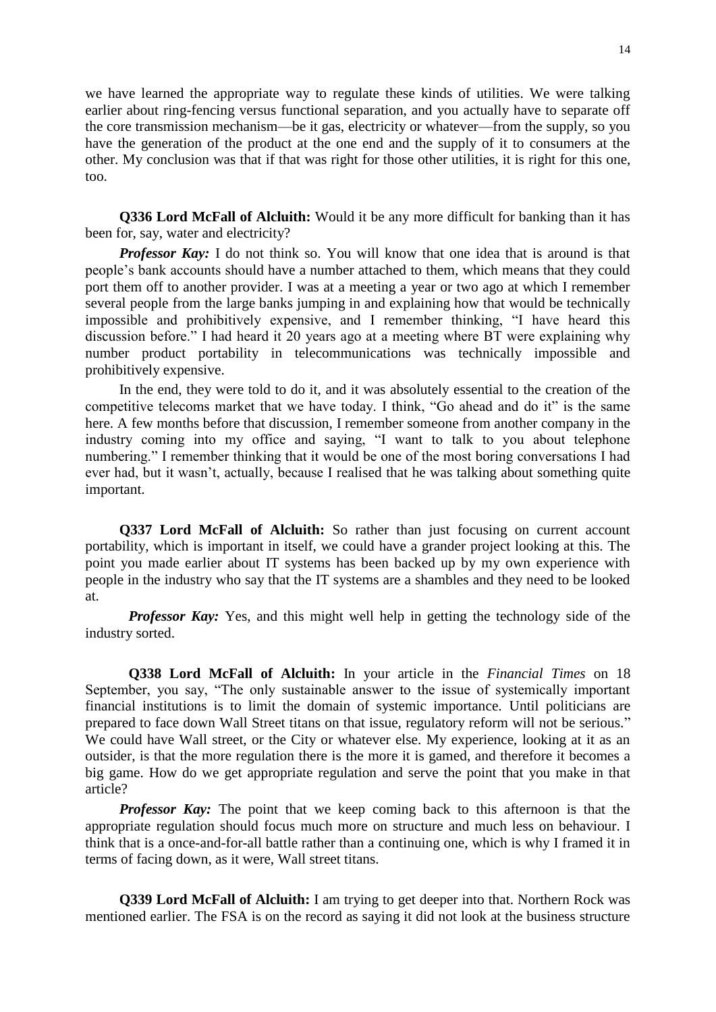we have learned the appropriate way to regulate these kinds of utilities. We were talking earlier about ring-fencing versus functional separation, and you actually have to separate off the core transmission mechanism—be it gas, electricity or whatever—from the supply, so you have the generation of the product at the one end and the supply of it to consumers at the other. My conclusion was that if that was right for those other utilities, it is right for this one, too.

**Q336 Lord McFall of Alcluith:** Would it be any more difficult for banking than it has been for, say, water and electricity?

*Professor Kay:* I do not think so. You will know that one idea that is around is that people's bank accounts should have a number attached to them, which means that they could port them off to another provider. I was at a meeting a year or two ago at which I remember several people from the large banks jumping in and explaining how that would be technically impossible and prohibitively expensive, and I remember thinking, "I have heard this discussion before." I had heard it 20 years ago at a meeting where BT were explaining why number product portability in telecommunications was technically impossible and prohibitively expensive.

In the end, they were told to do it, and it was absolutely essential to the creation of the competitive telecoms market that we have today. I think, "Go ahead and do it" is the same here. A few months before that discussion, I remember someone from another company in the industry coming into my office and saying, "I want to talk to you about telephone numbering." I remember thinking that it would be one of the most boring conversations I had ever had, but it wasn't, actually, because I realised that he was talking about something quite important.

**Q337 Lord McFall of Alcluith:** So rather than just focusing on current account portability, which is important in itself, we could have a grander project looking at this. The point you made earlier about IT systems has been backed up by my own experience with people in the industry who say that the IT systems are a shambles and they need to be looked at.

*Professor Kay:* Yes, and this might well help in getting the technology side of the industry sorted.

**Q338 Lord McFall of Alcluith:** In your article in the *Financial Times* on 18 September, you say, "The only sustainable answer to the issue of systemically important financial institutions is to limit the domain of systemic importance. Until politicians are prepared to face down Wall Street titans on that issue, regulatory reform will not be serious." We could have Wall street, or the City or whatever else. My experience, looking at it as an outsider, is that the more regulation there is the more it is gamed, and therefore it becomes a big game. How do we get appropriate regulation and serve the point that you make in that article?

*Professor Kay:* The point that we keep coming back to this afternoon is that the appropriate regulation should focus much more on structure and much less on behaviour. I think that is a once-and-for-all battle rather than a continuing one, which is why I framed it in terms of facing down, as it were, Wall street titans.

**Q339 Lord McFall of Alcluith:** I am trying to get deeper into that. Northern Rock was mentioned earlier. The FSA is on the record as saying it did not look at the business structure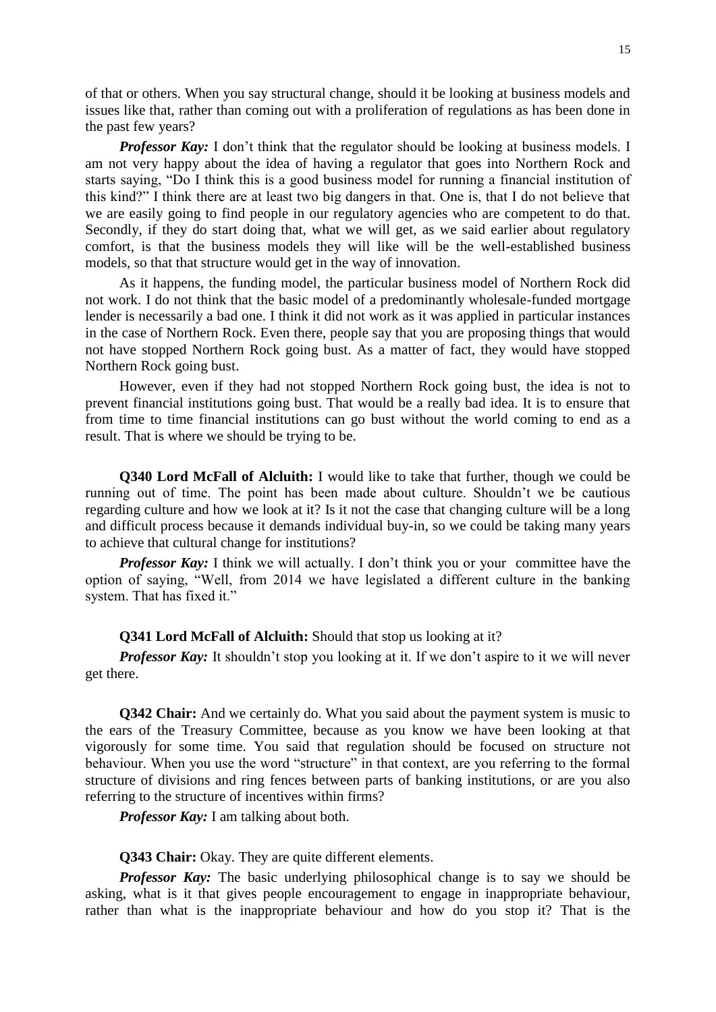of that or others. When you say structural change, should it be looking at business models and issues like that, rather than coming out with a proliferation of regulations as has been done in the past few years?

*Professor Kay:* I don't think that the regulator should be looking at business models. I am not very happy about the idea of having a regulator that goes into Northern Rock and starts saying, "Do I think this is a good business model for running a financial institution of this kind?" I think there are at least two big dangers in that. One is, that I do not believe that we are easily going to find people in our regulatory agencies who are competent to do that. Secondly, if they do start doing that, what we will get, as we said earlier about regulatory comfort, is that the business models they will like will be the well-established business models, so that that structure would get in the way of innovation.

As it happens, the funding model, the particular business model of Northern Rock did not work. I do not think that the basic model of a predominantly wholesale-funded mortgage lender is necessarily a bad one. I think it did not work as it was applied in particular instances in the case of Northern Rock. Even there, people say that you are proposing things that would not have stopped Northern Rock going bust. As a matter of fact, they would have stopped Northern Rock going bust.

However, even if they had not stopped Northern Rock going bust, the idea is not to prevent financial institutions going bust. That would be a really bad idea. It is to ensure that from time to time financial institutions can go bust without the world coming to end as a result. That is where we should be trying to be.

**Q340 Lord McFall of Alcluith:** I would like to take that further, though we could be running out of time. The point has been made about culture. Shouldn't we be cautious regarding culture and how we look at it? Is it not the case that changing culture will be a long and difficult process because it demands individual buy-in, so we could be taking many years to achieve that cultural change for institutions?

*Professor Kay:* I think we will actually. I don't think you or your committee have the option of saying, "Well, from 2014 we have legislated a different culture in the banking system. That has fixed it."

### **Q341 Lord McFall of Alcluith:** Should that stop us looking at it?

*Professor Kay:* It shouldn't stop you looking at it. If we don't aspire to it we will never get there.

**Q342 Chair:** And we certainly do. What you said about the payment system is music to the ears of the Treasury Committee, because as you know we have been looking at that vigorously for some time. You said that regulation should be focused on structure not behaviour. When you use the word "structure" in that context, are you referring to the formal structure of divisions and ring fences between parts of banking institutions, or are you also referring to the structure of incentives within firms?

*Professor Kay:* I am talking about both.

**Q343 Chair:** Okay. They are quite different elements.

*Professor Kay:* The basic underlying philosophical change is to say we should be asking, what is it that gives people encouragement to engage in inappropriate behaviour, rather than what is the inappropriate behaviour and how do you stop it? That is the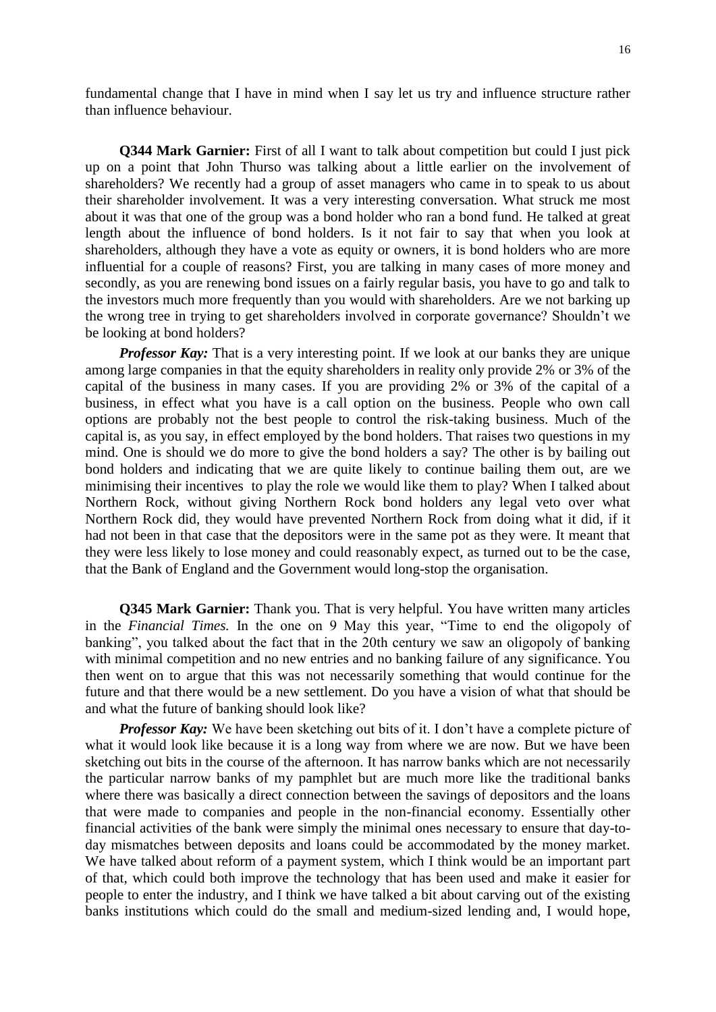fundamental change that I have in mind when I say let us try and influence structure rather than influence behaviour.

**Q344 Mark Garnier:** First of all I want to talk about competition but could I just pick up on a point that John Thurso was talking about a little earlier on the involvement of shareholders? We recently had a group of asset managers who came in to speak to us about their shareholder involvement. It was a very interesting conversation. What struck me most about it was that one of the group was a bond holder who ran a bond fund. He talked at great length about the influence of bond holders. Is it not fair to say that when you look at shareholders, although they have a vote as equity or owners, it is bond holders who are more influential for a couple of reasons? First, you are talking in many cases of more money and secondly, as you are renewing bond issues on a fairly regular basis, you have to go and talk to the investors much more frequently than you would with shareholders. Are we not barking up the wrong tree in trying to get shareholders involved in corporate governance? Shouldn't we be looking at bond holders?

*Professor Kay:* That is a very interesting point. If we look at our banks they are unique among large companies in that the equity shareholders in reality only provide 2% or 3% of the capital of the business in many cases. If you are providing 2% or 3% of the capital of a business, in effect what you have is a call option on the business. People who own call options are probably not the best people to control the risk-taking business. Much of the capital is, as you say, in effect employed by the bond holders. That raises two questions in my mind. One is should we do more to give the bond holders a say? The other is by bailing out bond holders and indicating that we are quite likely to continue bailing them out, are we minimising their incentives to play the role we would like them to play? When I talked about Northern Rock, without giving Northern Rock bond holders any legal veto over what Northern Rock did, they would have prevented Northern Rock from doing what it did, if it had not been in that case that the depositors were in the same pot as they were. It meant that they were less likely to lose money and could reasonably expect, as turned out to be the case, that the Bank of England and the Government would long-stop the organisation.

**Q345 Mark Garnier:** Thank you. That is very helpful. You have written many articles in the *Financial Times.* In the one on 9 May this year, "Time to end the oligopoly of banking", you talked about the fact that in the 20th century we saw an oligopoly of banking with minimal competition and no new entries and no banking failure of any significance. You then went on to argue that this was not necessarily something that would continue for the future and that there would be a new settlement. Do you have a vision of what that should be and what the future of banking should look like?

*Professor Kay:* We have been sketching out bits of it. I don't have a complete picture of what it would look like because it is a long way from where we are now. But we have been sketching out bits in the course of the afternoon. It has narrow banks which are not necessarily the particular narrow banks of my pamphlet but are much more like the traditional banks where there was basically a direct connection between the savings of depositors and the loans that were made to companies and people in the non-financial economy. Essentially other financial activities of the bank were simply the minimal ones necessary to ensure that day-today mismatches between deposits and loans could be accommodated by the money market. We have talked about reform of a payment system, which I think would be an important part of that, which could both improve the technology that has been used and make it easier for people to enter the industry, and I think we have talked a bit about carving out of the existing banks institutions which could do the small and medium-sized lending and, I would hope,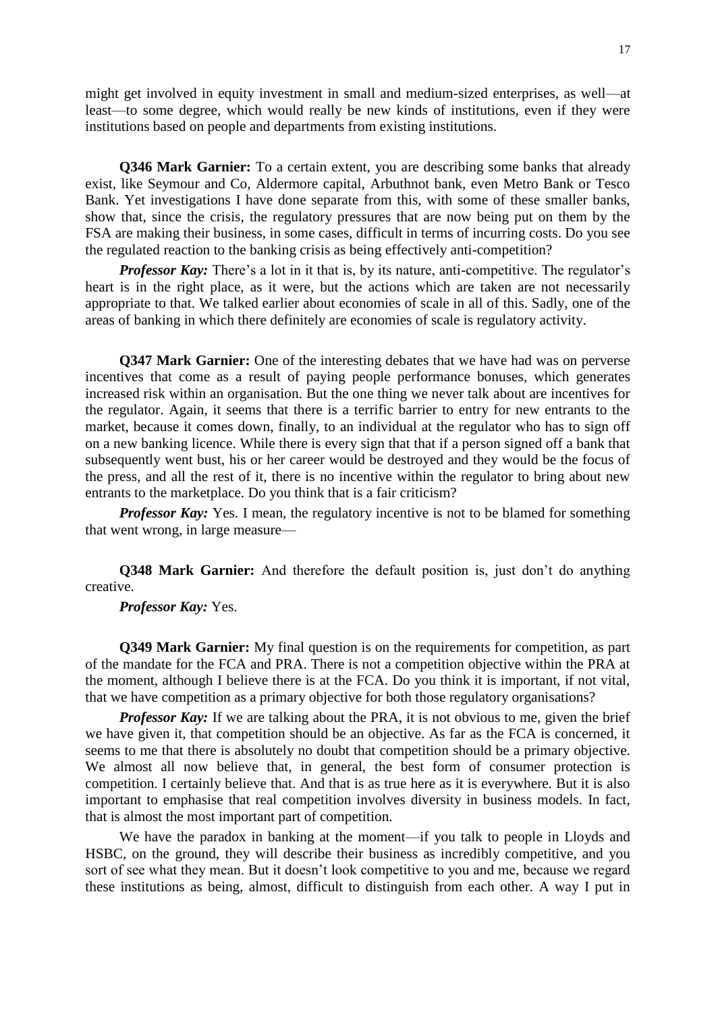might get involved in equity investment in small and medium-sized enterprises, as well—at least—to some degree, which would really be new kinds of institutions, even if they were institutions based on people and departments from existing institutions.

**Q346 Mark Garnier:** To a certain extent, you are describing some banks that already exist, like Seymour and Co, Aldermore capital, Arbuthnot bank, even Metro Bank or Tesco Bank. Yet investigations I have done separate from this, with some of these smaller banks, show that, since the crisis, the regulatory pressures that are now being put on them by the FSA are making their business, in some cases, difficult in terms of incurring costs. Do you see the regulated reaction to the banking crisis as being effectively anti-competition?

*Professor Kay:* There's a lot in it that is, by its nature, anti-competitive. The regulator's heart is in the right place, as it were, but the actions which are taken are not necessarily appropriate to that. We talked earlier about economies of scale in all of this. Sadly, one of the areas of banking in which there definitely are economies of scale is regulatory activity.

**Q347 Mark Garnier:** One of the interesting debates that we have had was on perverse incentives that come as a result of paying people performance bonuses, which generates increased risk within an organisation. But the one thing we never talk about are incentives for the regulator. Again, it seems that there is a terrific barrier to entry for new entrants to the market, because it comes down, finally, to an individual at the regulator who has to sign off on a new banking licence. While there is every sign that that if a person signed off a bank that subsequently went bust, his or her career would be destroyed and they would be the focus of the press, and all the rest of it, there is no incentive within the regulator to bring about new entrants to the marketplace. Do you think that is a fair criticism?

*Professor Kay:* Yes. I mean, the regulatory incentive is not to be blamed for something that went wrong, in large measure—

**Q348 Mark Garnier:** And therefore the default position is, just don't do anything creative.

*Professor Kay:* Yes.

**Q349 Mark Garnier:** My final question is on the requirements for competition, as part of the mandate for the FCA and PRA. There is not a competition objective within the PRA at the moment, although I believe there is at the FCA. Do you think it is important, if not vital, that we have competition as a primary objective for both those regulatory organisations?

*Professor Kay:* If we are talking about the PRA, it is not obvious to me, given the brief we have given it, that competition should be an objective. As far as the FCA is concerned, it seems to me that there is absolutely no doubt that competition should be a primary objective. We almost all now believe that, in general, the best form of consumer protection is competition. I certainly believe that. And that is as true here as it is everywhere. But it is also important to emphasise that real competition involves diversity in business models. In fact, that is almost the most important part of competition.

We have the paradox in banking at the moment—if you talk to people in Lloyds and HSBC, on the ground, they will describe their business as incredibly competitive, and you sort of see what they mean. But it doesn't look competitive to you and me, because we regard these institutions as being, almost, difficult to distinguish from each other. A way I put in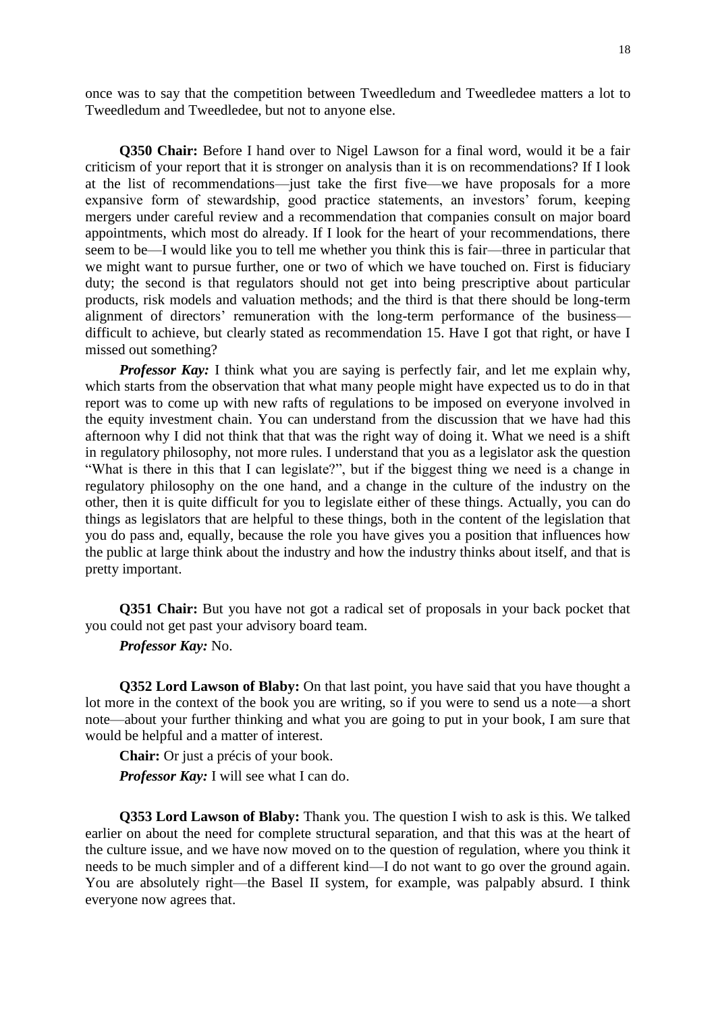once was to say that the competition between Tweedledum and Tweedledee matters a lot to Tweedledum and Tweedledee, but not to anyone else.

**Q350 Chair:** Before I hand over to Nigel Lawson for a final word, would it be a fair criticism of your report that it is stronger on analysis than it is on recommendations? If I look at the list of recommendations—just take the first five—we have proposals for a more expansive form of stewardship, good practice statements, an investors' forum, keeping mergers under careful review and a recommendation that companies consult on major board appointments, which most do already. If I look for the heart of your recommendations, there seem to be—I would like you to tell me whether you think this is fair—three in particular that we might want to pursue further, one or two of which we have touched on. First is fiduciary duty; the second is that regulators should not get into being prescriptive about particular products, risk models and valuation methods; and the third is that there should be long-term alignment of directors' remuneration with the long-term performance of the business difficult to achieve, but clearly stated as recommendation 15. Have I got that right, or have I missed out something?

*Professor Kay*: I think what you are saying is perfectly fair, and let me explain why, which starts from the observation that what many people might have expected us to do in that report was to come up with new rafts of regulations to be imposed on everyone involved in the equity investment chain. You can understand from the discussion that we have had this afternoon why I did not think that that was the right way of doing it. What we need is a shift in regulatory philosophy, not more rules. I understand that you as a legislator ask the question "What is there in this that I can legislate?", but if the biggest thing we need is a change in regulatory philosophy on the one hand, and a change in the culture of the industry on the other, then it is quite difficult for you to legislate either of these things. Actually, you can do things as legislators that are helpful to these things, both in the content of the legislation that you do pass and, equally, because the role you have gives you a position that influences how the public at large think about the industry and how the industry thinks about itself, and that is pretty important.

**Q351 Chair:** But you have not got a radical set of proposals in your back pocket that you could not get past your advisory board team.

*Professor Kay:* No.

**Q352 Lord Lawson of Blaby:** On that last point, you have said that you have thought a lot more in the context of the book you are writing, so if you were to send us a note—a short note—about your further thinking and what you are going to put in your book, I am sure that would be helpful and a matter of interest.

**Chair:** Or just a précis of your book.

*Professor Kay:* I will see what I can do.

**Q353 Lord Lawson of Blaby:** Thank you. The question I wish to ask is this. We talked earlier on about the need for complete structural separation, and that this was at the heart of the culture issue, and we have now moved on to the question of regulation, where you think it needs to be much simpler and of a different kind—I do not want to go over the ground again. You are absolutely right—the Basel II system, for example, was palpably absurd. I think everyone now agrees that.